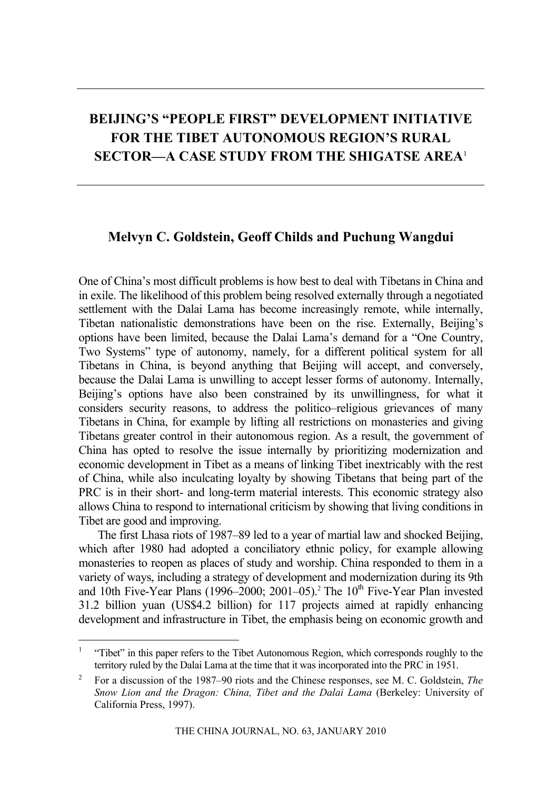# **BEIJING'S "PEOPLE FIRST" DEVELOPMENT INITIATIVE FOR THE TIBET AUTONOMOUS REGION'S RURAL SECTOR—A CASE STUDY FROM THE SHIGATSE AREA**<sup>1</sup>

## **Melvyn C. Goldstein, Geoff Childs and Puchung Wangdui**

One of China's most difficult problems is how best to deal with Tibetans in China and in exile. The likelihood of this problem being resolved externally through a negotiated settlement with the Dalai Lama has become increasingly remote, while internally, Tibetan nationalistic demonstrations have been on the rise. Externally, Beijing's options have been limited, because the Dalai Lama's demand for a "One Country, Two Systems" type of autonomy, namely, for a different political system for all Tibetans in China, is beyond anything that Beijing will accept, and conversely, because the Dalai Lama is unwilling to accept lesser forms of autonomy. Internally, Beijing's options have also been constrained by its unwillingness, for what it considers security reasons, to address the politico–religious grievances of many Tibetans in China, for example by lifting all restrictions on monasteries and giving Tibetans greater control in their autonomous region. As a result, the government of China has opted to resolve the issue internally by prioritizing modernization and economic development in Tibet as a means of linking Tibet inextricably with the rest of China, while also inculcating loyalty by showing Tibetans that being part of the PRC is in their short- and long-term material interests. This economic strategy also allows China to respond to international criticism by showing that living conditions in Tibet are good and improving.

The first Lhasa riots of 1987–89 led to a year of martial law and shocked Beijing, which after 1980 had adopted a conciliatory ethnic policy, for example allowing monasteries to reopen as places of study and worship. China responded to them in a variety of ways, including a strategy of development and modernization during its 9th and 10th Five-Year Plans (1996–2000; 2001–05).<sup>2</sup> The 10<sup>th</sup> Five-Year Plan invested 31.2 billion yuan (US\$4.2 billion) for 117 projects aimed at rapidly enhancing development and infrastructure in Tibet, the emphasis being on economic growth and

<sup>1</sup> "Tibet" in this paper refers to the Tibet Autonomous Region, which corresponds roughly to the territory ruled by the Dalai Lama at the time that it was incorporated into the PRC in 1951.

<sup>2</sup> For a discussion of the 1987–90 riots and the Chinese responses, see M. C. Goldstein, *The Snow Lion and the Dragon: China, Tibet and the Dalai Lama* (Berkeley: University of California Press, 1997).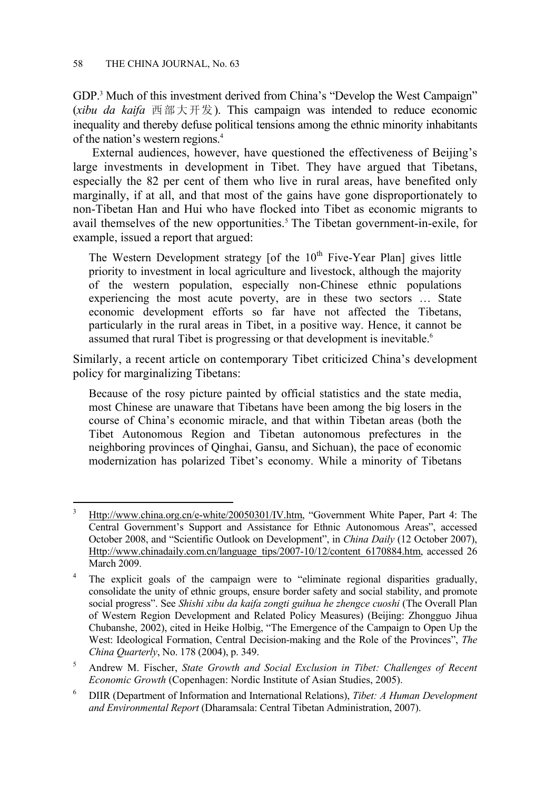$\overline{a}$ 

GDP.<sup>3</sup> Much of this investment derived from China's "Develop the West Campaign" (*xibu da kaifa* 西部大开发). This campaign was intended to reduce economic inequality and thereby defuse political tensions among the ethnic minority inhabitants of the nation's western regions.4

External audiences, however, have questioned the effectiveness of Beijing's large investments in development in Tibet. They have argued that Tibetans, especially the 82 per cent of them who live in rural areas, have benefited only marginally, if at all, and that most of the gains have gone disproportionately to non-Tibetan Han and Hui who have flocked into Tibet as economic migrants to avail themselves of the new opportunities.<sup>5</sup> The Tibetan government-in-exile, for example, issued a report that argued:

The Western Development strategy [of the  $10<sup>th</sup>$  Five-Year Plan] gives little priority to investment in local agriculture and livestock, although the majority of the western population, especially non-Chinese ethnic populations experiencing the most acute poverty, are in these two sectors … State economic development efforts so far have not affected the Tibetans, particularly in the rural areas in Tibet, in a positive way. Hence, it cannot be assumed that rural Tibet is progressing or that development is inevitable.<sup>6</sup>

Similarly, a recent article on contemporary Tibet criticized China's development policy for marginalizing Tibetans:

Because of the rosy picture painted by official statistics and the state media, most Chinese are unaware that Tibetans have been among the big losers in the course of China's economic miracle, and that within Tibetan areas (both the Tibet Autonomous Region and Tibetan autonomous prefectures in the neighboring provinces of Qinghai, Gansu, and Sichuan), the pace of economic modernization has polarized Tibet's economy. While a minority of Tibetans

6 DIIR (Department of Information and International Relations), *Tibet: A Human Development and Environmental Report* (Dharamsala: Central Tibetan Administration, 2007).

Http://www.china.org.cn/e-white/20050301/IV.htm, "Government White Paper, Part 4: The Central Government's Support and Assistance for Ethnic Autonomous Areas", accessed October 2008, and "Scientific Outlook on Development", in *China Daily* (12 October 2007), Http://www.chinadaily.com.cn/language\_tips/2007-10/12/content\_6170884.htm, accessed 26 March 2009.

<sup>4</sup> The explicit goals of the campaign were to "eliminate regional disparities gradually, consolidate the unity of ethnic groups, ensure border safety and social stability, and promote social progress". See *Shishi xibu da kaifa zongti guihua he zhengce cuoshi* (The Overall Plan of Western Region Development and Related Policy Measures) (Beijing: Zhongguo Jihua Chubanshe, 2002), cited in Heike Holbig, "The Emergence of the Campaign to Open Up the West: Ideological Formation, Central Decision-making and the Role of the Provinces", *The China Quarterly*, No. 178 (2004), p. 349.

<sup>5</sup> Andrew M. Fischer, *State Growth and Social Exclusion in Tibet: Challenges of Recent Economic Growth* (Copenhagen: Nordic Institute of Asian Studies, 2005).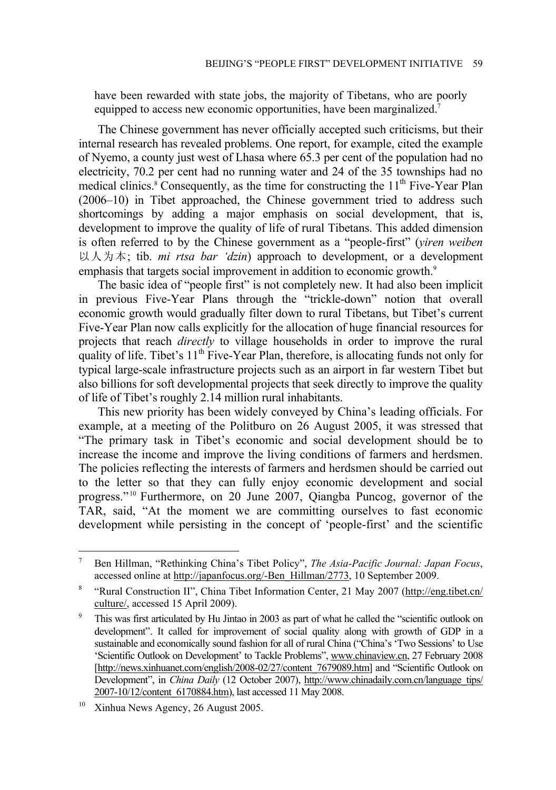have been rewarded with state jobs, the majority of Tibetans, who are poorly equipped to access new economic opportunities, have been marginalized.<sup>7</sup>

The Chinese government has never officially accepted such criticisms, but their internal research has revealed problems. One report, for example, cited the example of Nyemo, a county just west of Lhasa where 65.3 per cent of the population had no electricity, 70.2 per cent had no running water and 24 of the 35 townships had no medical clinics.<sup>8</sup> Consequently, as the time for constructing the  $11<sup>th</sup>$  Five-Year Plan (2006–10) in Tibet approached, the Chinese government tried to address such shortcomings by adding a major emphasis on social development, that is, development to improve the quality of life of rural Tibetans. This added dimension is often referred to by the Chinese government as a "people-first" (*yiren weiben* 以人为本; tib. *mi rtsa bar 'dzin*) approach to development, or a development emphasis that targets social improvement in addition to economic growth.<sup>9</sup>

The basic idea of "people first" is not completely new. It had also been implicit in previous Five-Year Plans through the "trickle-down" notion that overall economic growth would gradually filter down to rural Tibetans, but Tibet's current Five-Year Plan now calls explicitly for the allocation of huge financial resources for projects that reach *directly* to village households in order to improve the rural quality of life. Tibet's  $11<sup>th</sup>$  Five-Year Plan, therefore, is allocating funds not only for typical large-scale infrastructure projects such as an airport in far western Tibet but also billions for soft developmental projects that seek directly to improve the quality of life of Tibet's roughly 2.14 million rural inhabitants.

This new priority has been widely conveyed by China's leading officials. For example, at a meeting of the Politburo on 26 August 2005, it was stressed that "The primary task in Tibet's economic and social development should be to increase the income and improve the living conditions of farmers and herdsmen. The policies reflecting the interests of farmers and herdsmen should be carried out to the letter so that they can fully enjoy economic development and social progress." 10 Furthermore, on 20 June 2007, Qiangba Puncog, governor of the TAR, said, "At the moment we are committing ourselves to fast economic development while persisting in the concept of 'people-first' and the scientific

<sup>7</sup> Ben Hillman, "Rethinking China's Tibet Policy", *The Asia-Pacific Journal: Japan Focus*, accessed online at http://japanfocus.org/-Ben\_Hillman/2773, 10 September 2009.

<sup>8</sup> "Rural Construction II", China Tibet Information Center, 21 May 2007 (http://eng.tibet.cn/ culture/, accessed 15 April 2009).

<sup>9</sup> This was first articulated by Hu Jintao in 2003 as part of what he called the "scientific outlook on development". It called for improvement of social quality along with growth of GDP in a sustainable and economically sound fashion for all of rural China ("China's 'Two Sessions' to Use 'Scientific Outlook on Development' to Tackle Problems", www.chinaview.cn, 27 February 2008 [http://news.xinhuanet.com/english/2008-02/27/content 7679089.htm] and "Scientific Outlook on Development", in *China Daily* (12 October 2007), http://www.chinadaily.com.cn/language\_tips/ 2007-10/12/content\_6170884.htm), last accessed 11 May 2008.

<sup>&</sup>lt;sup>10</sup> Xinhua News Agency, 26 August 2005.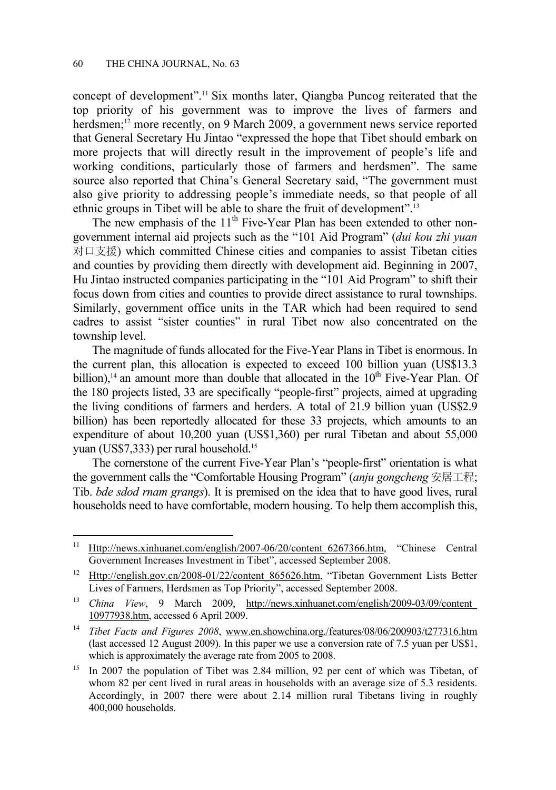$\overline{a}$ 

concept of development".11 Six months later, Qiangba Puncog reiterated that the top priority of his government was to improve the lives of farmers and herdsmen;<sup>12</sup> more recently, on 9 March 2009, a government news service reported that General Secretary Hu Jintao "expressed the hope that Tibet should embark on more projects that will directly result in the improvement of people's life and working conditions, particularly those of farmers and herdsmen". The same source also reported that China's General Secretary said, "The government must also give priority to addressing people's immediate needs, so that people of all ethnic groups in Tibet will be able to share the fruit of development".<sup>13</sup>

The new emphasis of the  $11<sup>th</sup>$  Five-Year Plan has been extended to other nongovernment internal aid projects such as the "101 Aid Program" (*dui kou zhi yuan* 对口支援) which committed Chinese cities and companies to assist Tibetan cities and counties by providing them directly with development aid. Beginning in 2007, Hu Jintao instructed companies participating in the "101 Aid Program" to shift their focus down from cities and counties to provide direct assistance to rural townships. Similarly, government office units in the TAR which had been required to send cadres to assist "sister counties" in rural Tibet now also concentrated on the township level.

The magnitude of funds allocated for the Five-Year Plans in Tibet is enormous. In the current plan, this allocation is expected to exceed 100 billion yuan (US\$13.3 billion),<sup>14</sup> an amount more than double that allocated in the  $10<sup>th</sup>$  Five-Year Plan. Of the 180 projects listed, 33 are specifically "people-first" projects, aimed at upgrading the living conditions of farmers and herders. A total of 21.9 billion yuan (US\$2.9 billion) has been reportedly allocated for these 33 projects, which amounts to an expenditure of about 10,200 yuan (US\$1,360) per rural Tibetan and about 55,000 yuan (US\$7,333) per rural household.15

The cornerstone of the current Five-Year Plan's "people-first" orientation is what the government calls the "Comfortable Housing Program" (*anju gongcheng* 安居工程; Tib. *bde sdod rnam grangs*). It is premised on the idea that to have good lives, rural households need to have comfortable, modern housing. To help them accomplish this,

<sup>&</sup>lt;sup>11</sup> Http://news.xinhuanet.com/english/2007-06/20/content 6267366.htm, "Chinese Central Government Increases Investment in Tibet", accessed September 2008.

<sup>&</sup>lt;sup>12</sup> Http://english.gov.cn/2008-01/22/content\_865626.htm, "Tibetan Government Lists Better Lives of Farmers, Herdsmen as Top Priority", accessed September 2008.

<sup>13</sup> *China View*, 9 March 2009, http://news.xinhuanet.com/english/2009-03/09/content\_ 10977938.htm, accessed 6 April 2009.

<sup>&</sup>lt;sup>14</sup> *Tibet Facts and Figures 2008*, www.en.showchina.org./features/08/06/200903/t277316.htm (last accessed 12 August 2009). In this paper we use a conversion rate of 7.5 yuan per US\$1, which is approximately the average rate from 2005 to 2008.

<sup>15</sup> In 2007 the population of Tibet was 2.84 million, 92 per cent of which was Tibetan, of whom 82 per cent lived in rural areas in households with an average size of 5.3 residents. Accordingly, in 2007 there were about 2.14 million rural Tibetans living in roughly 400,000 households.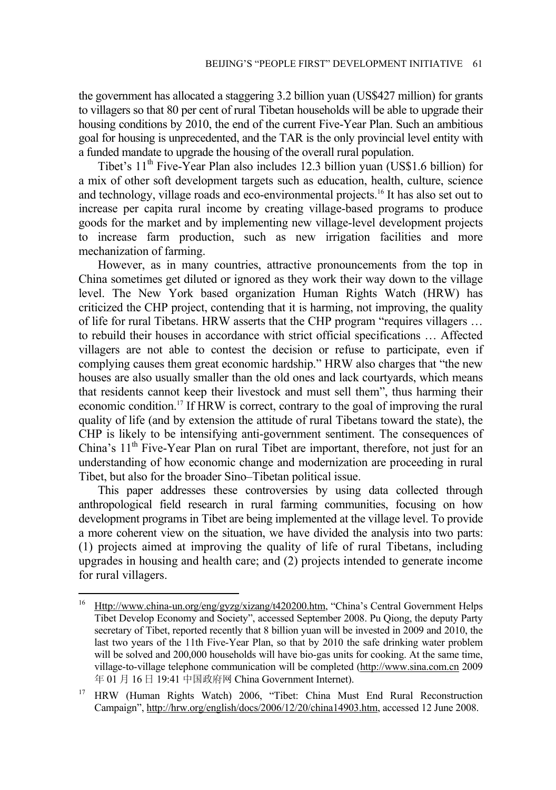the government has allocated a staggering 3.2 billion yuan (US\$427 million) for grants to villagers so that 80 per cent of rural Tibetan households will be able to upgrade their housing conditions by 2010, the end of the current Five-Year Plan. Such an ambitious goal for housing is unprecedented, and the TAR is the only provincial level entity with a funded mandate to upgrade the housing of the overall rural population.

Tibet's  $11<sup>th</sup>$  Five-Year Plan also includes 12.3 billion yuan (US\$1.6 billion) for a mix of other soft development targets such as education, health, culture, science and technology, village roads and eco-environmental projects.16 It has also set out to increase per capita rural income by creating village-based programs to produce goods for the market and by implementing new village-level development projects to increase farm production, such as new irrigation facilities and more mechanization of farming.

However, as in many countries, attractive pronouncements from the top in China sometimes get diluted or ignored as they work their way down to the village level. The New York based organization Human Rights Watch (HRW) has criticized the CHP project, contending that it is harming, not improving, the quality of life for rural Tibetans. HRW asserts that the CHP program "requires villagers … to rebuild their houses in accordance with strict official specifications … Affected villagers are not able to contest the decision or refuse to participate, even if complying causes them great economic hardship." HRW also charges that "the new houses are also usually smaller than the old ones and lack courtyards, which means that residents cannot keep their livestock and must sell them", thus harming their economic condition.17 If HRW is correct, contrary to the goal of improving the rural quality of life (and by extension the attitude of rural Tibetans toward the state), the CHP is likely to be intensifying anti-government sentiment. The consequences of China's  $11<sup>th</sup>$  Five-Year Plan on rural Tibet are important, therefore, not just for an understanding of how economic change and modernization are proceeding in rural Tibet, but also for the broader Sino–Tibetan political issue.

This paper addresses these controversies by using data collected through anthropological field research in rural farming communities, focusing on how development programs in Tibet are being implemented at the village level. To provide a more coherent view on the situation, we have divided the analysis into two parts: (1) projects aimed at improving the quality of life of rural Tibetans, including upgrades in housing and health care; and (2) projects intended to generate income for rural villagers.

<sup>&</sup>lt;sup>16</sup> Http://www.china-un.org/eng/gyzg/xizang/t420200.htm, "China's Central Government Helps Tibet Develop Economy and Society", accessed September 2008. Pu Qiong, the deputy Party secretary of Tibet, reported recently that 8 billion yuan will be invested in 2009 and 2010, the last two years of the 11th Five-Year Plan, so that by 2010 the safe drinking water problem will be solved and 200,000 households will have bio-gas units for cooking. At the same time, village-to-village telephone communication will be completed (http://www.sina.com.cn 2009 年 01 月 16 日 19:41 中国政府网 China Government Internet).

<sup>17</sup> HRW (Human Rights Watch) 2006, "Tibet: China Must End Rural Reconstruction Campaign", http://hrw.org/english/docs/2006/12/20/china14903.htm, accessed 12 June 2008.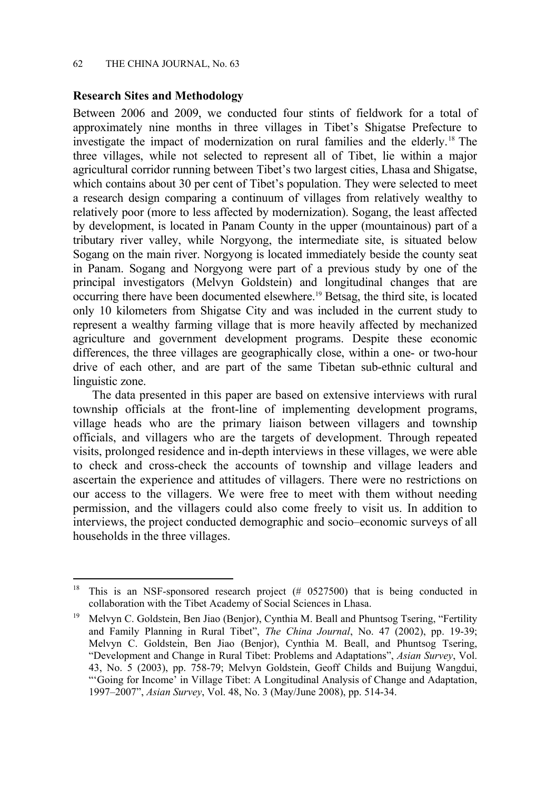## **Research Sites and Methodology**

 $\overline{a}$ 

Between 2006 and 2009, we conducted four stints of fieldwork for a total of approximately nine months in three villages in Tibet's Shigatse Prefecture to investigate the impact of modernization on rural families and the elderly.18 The three villages, while not selected to represent all of Tibet, lie within a major agricultural corridor running between Tibet's two largest cities, Lhasa and Shigatse, which contains about 30 per cent of Tibet's population. They were selected to meet a research design comparing a continuum of villages from relatively wealthy to relatively poor (more to less affected by modernization). Sogang, the least affected by development, is located in Panam County in the upper (mountainous) part of a tributary river valley, while Norgyong, the intermediate site, is situated below Sogang on the main river. Norgyong is located immediately beside the county seat in Panam. Sogang and Norgyong were part of a previous study by one of the principal investigators (Melvyn Goldstein) and longitudinal changes that are occurring there have been documented elsewhere.19 Betsag, the third site, is located only 10 kilometers from Shigatse City and was included in the current study to represent a wealthy farming village that is more heavily affected by mechanized agriculture and government development programs. Despite these economic differences, the three villages are geographically close, within a one- or two-hour drive of each other, and are part of the same Tibetan sub-ethnic cultural and linguistic zone.

The data presented in this paper are based on extensive interviews with rural township officials at the front-line of implementing development programs, village heads who are the primary liaison between villagers and township officials, and villagers who are the targets of development. Through repeated visits, prolonged residence and in-depth interviews in these villages, we were able to check and cross-check the accounts of township and village leaders and ascertain the experience and attitudes of villagers. There were no restrictions on our access to the villagers. We were free to meet with them without needing permission, and the villagers could also come freely to visit us. In addition to interviews, the project conducted demographic and socio–economic surveys of all households in the three villages.

This is an NSF-sponsored research project  $(# 0527500)$  that is being conducted in collaboration with the Tibet Academy of Social Sciences in Lhasa.

<sup>19</sup> Melvyn C. Goldstein, Ben Jiao (Benjor), Cynthia M. Beall and Phuntsog Tsering, "Fertility and Family Planning in Rural Tibet", *The China Journal*, No. 47 (2002), pp. 19-39; Melvyn C. Goldstein, Ben Jiao (Benjor), Cynthia M. Beall, and Phuntsog Tsering, "Development and Change in Rural Tibet: Problems and Adaptations", *Asian Survey*, Vol. 43, No. 5 (2003), pp. 758-79; Melvyn Goldstein, Geoff Childs and Buijung Wangdui, "'Going for Income' in Village Tibet: A Longitudinal Analysis of Change and Adaptation, 1997–2007", *Asian Survey*, Vol. 48, No. 3 (May/June 2008), pp. 514-34.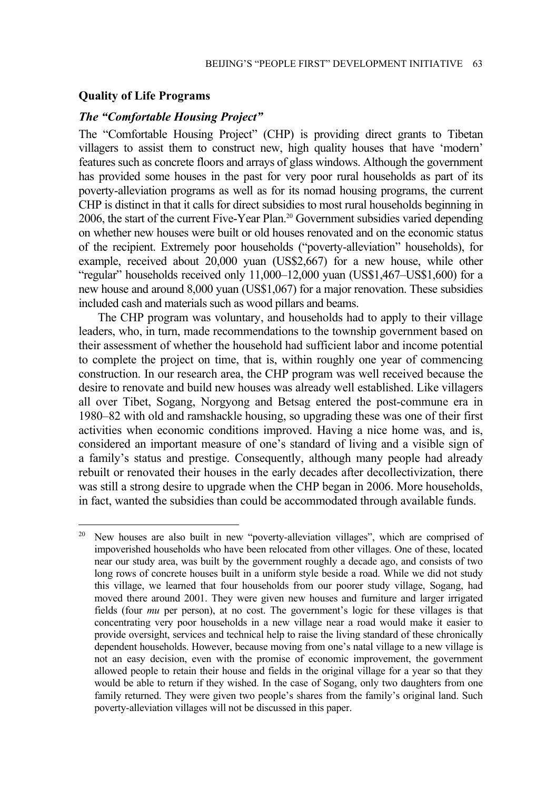## **Quality of Life Programs**

 $\overline{a}$ 

#### *The "Comfortable Housing Project"*

The "Comfortable Housing Project" (CHP) is providing direct grants to Tibetan villagers to assist them to construct new, high quality houses that have 'modern' features such as concrete floors and arrays of glass windows. Although the government has provided some houses in the past for very poor rural households as part of its poverty-alleviation programs as well as for its nomad housing programs, the current CHP is distinct in that it calls for direct subsidies to most rural households beginning in 2006, the start of the current Five-Year Plan.20 Government subsidies varied depending on whether new houses were built or old houses renovated and on the economic status of the recipient. Extremely poor households ("poverty-alleviation" households), for example, received about 20,000 yuan (US\$2,667) for a new house, while other "regular" households received only 11,000–12,000 yuan (US\$1,467–US\$1,600) for a new house and around 8,000 yuan (US\$1,067) for a major renovation. These subsidies included cash and materials such as wood pillars and beams.

The CHP program was voluntary, and households had to apply to their village leaders, who, in turn, made recommendations to the township government based on their assessment of whether the household had sufficient labor and income potential to complete the project on time, that is, within roughly one year of commencing construction. In our research area, the CHP program was well received because the desire to renovate and build new houses was already well established. Like villagers all over Tibet, Sogang, Norgyong and Betsag entered the post-commune era in 1980–82 with old and ramshackle housing, so upgrading these was one of their first activities when economic conditions improved. Having a nice home was, and is, considered an important measure of one's standard of living and a visible sign of a family's status and prestige. Consequently, although many people had already rebuilt or renovated their houses in the early decades after decollectivization, there was still a strong desire to upgrade when the CHP began in 2006. More households, in fact, wanted the subsidies than could be accommodated through available funds.

<sup>&</sup>lt;sup>20</sup> New houses are also built in new "poverty-alleviation villages", which are comprised of impoverished households who have been relocated from other villages. One of these, located near our study area, was built by the government roughly a decade ago, and consists of two long rows of concrete houses built in a uniform style beside a road. While we did not study this village, we learned that four households from our poorer study village, Sogang, had moved there around 2001. They were given new houses and furniture and larger irrigated fields (four *mu* per person), at no cost. The government's logic for these villages is that concentrating very poor households in a new village near a road would make it easier to provide oversight, services and technical help to raise the living standard of these chronically dependent households. However, because moving from one's natal village to a new village is not an easy decision, even with the promise of economic improvement, the government allowed people to retain their house and fields in the original village for a year so that they would be able to return if they wished. In the case of Sogang, only two daughters from one family returned. They were given two people's shares from the family's original land. Such poverty-alleviation villages will not be discussed in this paper.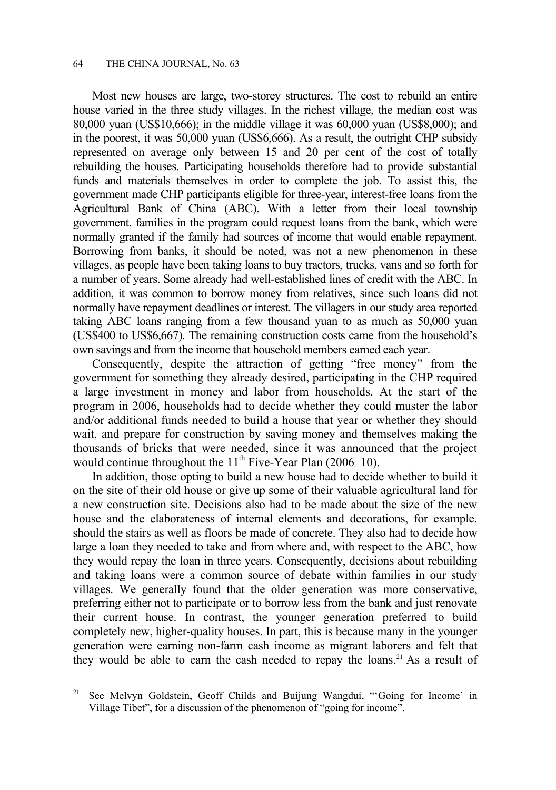Most new houses are large, two-storey structures. The cost to rebuild an entire house varied in the three study villages. In the richest village, the median cost was 80,000 yuan (US\$10,666); in the middle village it was 60,000 yuan (US\$8,000); and in the poorest, it was 50,000 yuan (US\$6,666). As a result, the outright CHP subsidy represented on average only between 15 and 20 per cent of the cost of totally rebuilding the houses. Participating households therefore had to provide substantial funds and materials themselves in order to complete the job. To assist this, the government made CHP participants eligible for three-year, interest-free loans from the Agricultural Bank of China (ABC). With a letter from their local township government, families in the program could request loans from the bank, which were normally granted if the family had sources of income that would enable repayment. Borrowing from banks, it should be noted, was not a new phenomenon in these villages, as people have been taking loans to buy tractors, trucks, vans and so forth for a number of years. Some already had well-established lines of credit with the ABC. In addition, it was common to borrow money from relatives, since such loans did not normally have repayment deadlines or interest. The villagers in our study area reported taking ABC loans ranging from a few thousand yuan to as much as 50,000 yuan (US\$400 to US\$6,667). The remaining construction costs came from the household's own savings and from the income that household members earned each year.

Consequently, despite the attraction of getting "free money" from the government for something they already desired, participating in the CHP required a large investment in money and labor from households. At the start of the program in 2006, households had to decide whether they could muster the labor and/or additional funds needed to build a house that year or whether they should wait, and prepare for construction by saving money and themselves making the thousands of bricks that were needed, since it was announced that the project would continue throughout the  $11<sup>th</sup>$  Five-Year Plan (2006–10).

In addition, those opting to build a new house had to decide whether to build it on the site of their old house or give up some of their valuable agricultural land for a new construction site. Decisions also had to be made about the size of the new house and the elaborateness of internal elements and decorations, for example, should the stairs as well as floors be made of concrete. They also had to decide how large a loan they needed to take and from where and, with respect to the ABC, how they would repay the loan in three years. Consequently, decisions about rebuilding and taking loans were a common source of debate within families in our study villages. We generally found that the older generation was more conservative, preferring either not to participate or to borrow less from the bank and just renovate their current house. In contrast, the younger generation preferred to build completely new, higher-quality houses. In part, this is because many in the younger generation were earning non-farm cash income as migrant laborers and felt that they would be able to earn the cash needed to repay the loans.<sup>21</sup> As a result of

<sup>&</sup>lt;sup>21</sup> See Melvyn Goldstein, Geoff Childs and Buijung Wangdui, "Going for Income' in Village Tibet", for a discussion of the phenomenon of "going for income".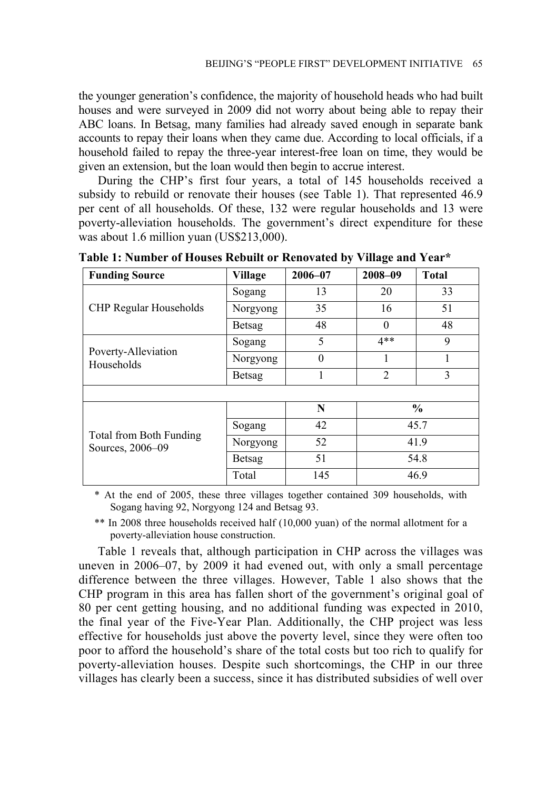the younger generation's confidence, the majority of household heads who had built houses and were surveyed in 2009 did not worry about being able to repay their ABC loans. In Betsag, many families had already saved enough in separate bank accounts to repay their loans when they came due. According to local officials, if a household failed to repay the three-year interest-free loan on time, they would be given an extension, but the loan would then begin to accrue interest.

During the CHP's first four years, a total of 145 households received a subsidy to rebuild or renovate their houses (see Table 1). That represented 46.9 per cent of all households. Of these, 132 were regular households and 13 were poverty-alleviation households. The government's direct expenditure for these was about 1.6 million yuan (US\$213,000).

| <b>Funding Source</b>                       | <b>Village</b> | 2006-07  | 2008-09        | <b>Total</b> |
|---------------------------------------------|----------------|----------|----------------|--------------|
| <b>CHP Regular Households</b>               | Sogang         | 13       | 20             | 33           |
|                                             | Norgyong       | 35       | 16             | 51           |
|                                             | Betsag         | 48       | $\theta$       | 48           |
| Poverty-Alleviation<br>Households           | Sogang         | 5        | $4**$          | 9            |
|                                             | Norgyong       | $\theta$ |                |              |
|                                             | <b>Betsag</b>  |          | $\overline{2}$ | 3            |
|                                             |                |          |                |              |
| Total from Both Funding<br>Sources, 2006-09 |                | N        | $\frac{6}{6}$  |              |
|                                             | Sogang         | 42       | 45.7           |              |
|                                             | Norgyong       | 52       | 41.9           |              |
|                                             | Betsag         | 51       | 54.8           |              |
|                                             | Total          | 145      | 46.9           |              |

**Table 1: Number of Houses Rebuilt or Renovated by Village and Year\*** 

\* At the end of 2005, these three villages together contained 309 households, with Sogang having 92, Norgyong 124 and Betsag 93.

\*\* In 2008 three households received half (10,000 yuan) of the normal allotment for a poverty-alleviation house construction.

Table 1 reveals that, although participation in CHP across the villages was uneven in 2006–07, by 2009 it had evened out, with only a small percentage difference between the three villages. However, Table 1 also shows that the CHP program in this area has fallen short of the government's original goal of 80 per cent getting housing, and no additional funding was expected in 2010, the final year of the Five-Year Plan. Additionally, the CHP project was less effective for households just above the poverty level, since they were often too poor to afford the household's share of the total costs but too rich to qualify for poverty-alleviation houses. Despite such shortcomings, the CHP in our three villages has clearly been a success, since it has distributed subsidies of well over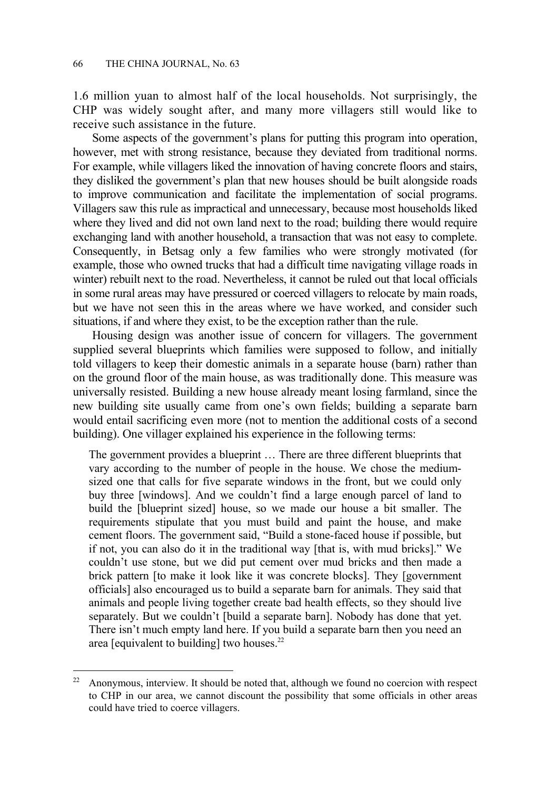1.6 million yuan to almost half of the local households. Not surprisingly, the CHP was widely sought after, and many more villagers still would like to receive such assistance in the future.

Some aspects of the government's plans for putting this program into operation, however, met with strong resistance, because they deviated from traditional norms. For example, while villagers liked the innovation of having concrete floors and stairs, they disliked the government's plan that new houses should be built alongside roads to improve communication and facilitate the implementation of social programs. Villagers saw this rule as impractical and unnecessary, because most households liked where they lived and did not own land next to the road; building there would require exchanging land with another household, a transaction that was not easy to complete. Consequently, in Betsag only a few families who were strongly motivated (for example, those who owned trucks that had a difficult time navigating village roads in winter) rebuilt next to the road. Nevertheless, it cannot be ruled out that local officials in some rural areas may have pressured or coerced villagers to relocate by main roads, but we have not seen this in the areas where we have worked, and consider such situations, if and where they exist, to be the exception rather than the rule.

Housing design was another issue of concern for villagers. The government supplied several blueprints which families were supposed to follow, and initially told villagers to keep their domestic animals in a separate house (barn) rather than on the ground floor of the main house, as was traditionally done. This measure was universally resisted. Building a new house already meant losing farmland, since the new building site usually came from one's own fields; building a separate barn would entail sacrificing even more (not to mention the additional costs of a second building). One villager explained his experience in the following terms:

The government provides a blueprint … There are three different blueprints that vary according to the number of people in the house. We chose the mediumsized one that calls for five separate windows in the front, but we could only buy three [windows]. And we couldn't find a large enough parcel of land to build the [blueprint sized] house, so we made our house a bit smaller. The requirements stipulate that you must build and paint the house, and make cement floors. The government said, "Build a stone-faced house if possible, but if not, you can also do it in the traditional way [that is, with mud bricks]." We couldn't use stone, but we did put cement over mud bricks and then made a brick pattern [to make it look like it was concrete blocks]. They [government officials] also encouraged us to build a separate barn for animals. They said that animals and people living together create bad health effects, so they should live separately. But we couldn't [build a separate barn]. Nobody has done that yet. There isn't much empty land here. If you build a separate barn then you need an area [equivalent to building] two houses.<sup>22</sup>

 $22$ 22 Anonymous, interview. It should be noted that, although we found no coercion with respect to CHP in our area, we cannot discount the possibility that some officials in other areas could have tried to coerce villagers.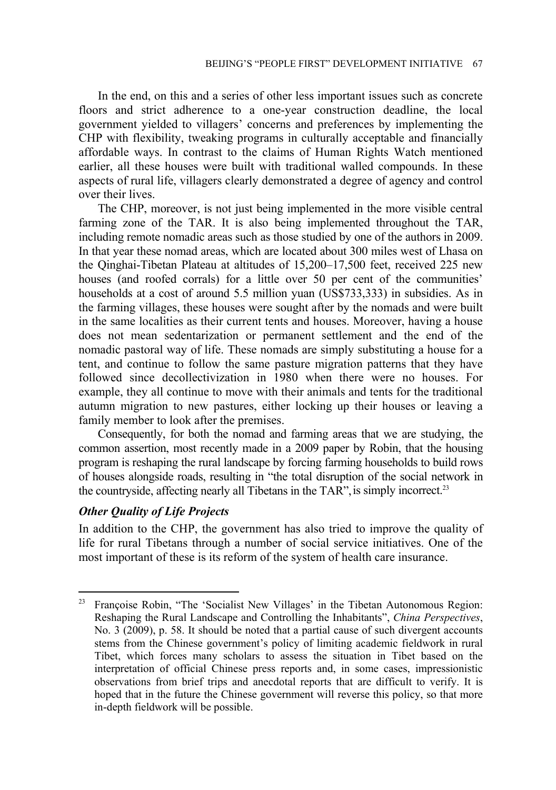In the end, on this and a series of other less important issues such as concrete floors and strict adherence to a one-year construction deadline, the local government yielded to villagers' concerns and preferences by implementing the CHP with flexibility, tweaking programs in culturally acceptable and financially affordable ways. In contrast to the claims of Human Rights Watch mentioned earlier, all these houses were built with traditional walled compounds. In these aspects of rural life, villagers clearly demonstrated a degree of agency and control over their lives.

The CHP, moreover, is not just being implemented in the more visible central farming zone of the TAR. It is also being implemented throughout the TAR, including remote nomadic areas such as those studied by one of the authors in 2009. In that year these nomad areas, which are located about 300 miles west of Lhasa on the Qinghai-Tibetan Plateau at altitudes of 15,200–17,500 feet, received 225 new houses (and roofed corrals) for a little over 50 per cent of the communities' households at a cost of around 5.5 million yuan (US\$733,333) in subsidies. As in the farming villages, these houses were sought after by the nomads and were built in the same localities as their current tents and houses. Moreover, having a house does not mean sedentarization or permanent settlement and the end of the nomadic pastoral way of life. These nomads are simply substituting a house for a tent, and continue to follow the same pasture migration patterns that they have followed since decollectivization in 1980 when there were no houses. For example, they all continue to move with their animals and tents for the traditional autumn migration to new pastures, either locking up their houses or leaving a family member to look after the premises.

Consequently, for both the nomad and farming areas that we are studying, the common assertion, most recently made in a 2009 paper by Robin, that the housing program is reshaping the rural landscape by forcing farming households to build rows of houses alongside roads, resulting in "the total disruption of the social network in the countryside, affecting nearly all Tibetans in the TAR", is simply incorrect.<sup>23</sup>

## *Other Quality of Life Projects*

 $\overline{a}$ 

In addition to the CHP, the government has also tried to improve the quality of life for rural Tibetans through a number of social service initiatives. One of the most important of these is its reform of the system of health care insurance.

<sup>23</sup> Françoise Robin, "The 'Socialist New Villages' in the Tibetan Autonomous Region: Reshaping the Rural Landscape and Controlling the Inhabitants", *China Perspectives*, No. 3 (2009), p. 58. It should be noted that a partial cause of such divergent accounts stems from the Chinese government's policy of limiting academic fieldwork in rural Tibet, which forces many scholars to assess the situation in Tibet based on the interpretation of official Chinese press reports and, in some cases, impressionistic observations from brief trips and anecdotal reports that are difficult to verify. It is hoped that in the future the Chinese government will reverse this policy, so that more in-depth fieldwork will be possible.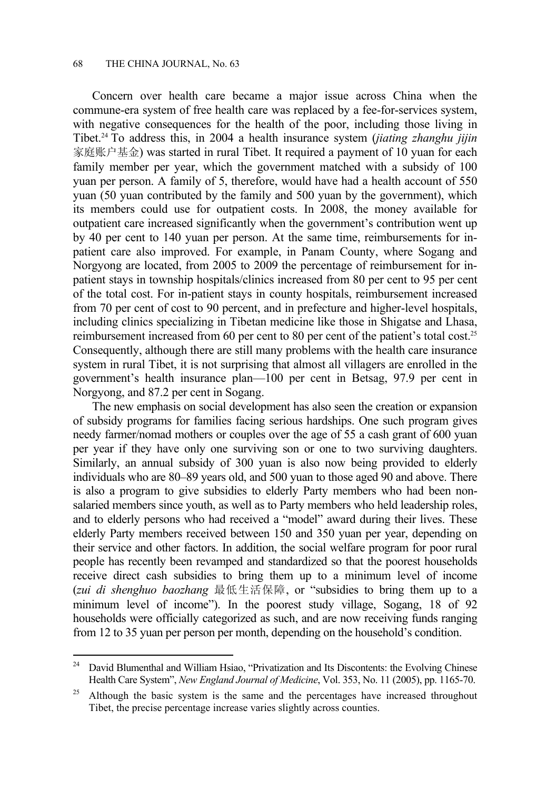Concern over health care became a major issue across China when the commune-era system of free health care was replaced by a fee-for-services system, with negative consequences for the health of the poor, including those living in Tibet.24 To address this, in 2004 a health insurance system (*jiating zhanghu jijin*  家庭账户基金) was started in rural Tibet. It required a payment of 10 yuan for each family member per year, which the government matched with a subsidy of 100 yuan per person. A family of 5, therefore, would have had a health account of 550 yuan (50 yuan contributed by the family and 500 yuan by the government), which its members could use for outpatient costs. In 2008, the money available for outpatient care increased significantly when the government's contribution went up by 40 per cent to 140 yuan per person. At the same time, reimbursements for inpatient care also improved. For example, in Panam County, where Sogang and Norgyong are located, from 2005 to 2009 the percentage of reimbursement for inpatient stays in township hospitals/clinics increased from 80 per cent to 95 per cent of the total cost. For in-patient stays in county hospitals, reimbursement increased from 70 per cent of cost to 90 percent, and in prefecture and higher-level hospitals, including clinics specializing in Tibetan medicine like those in Shigatse and Lhasa, reimbursement increased from 60 per cent to 80 per cent of the patient's total cost.25 Consequently, although there are still many problems with the health care insurance system in rural Tibet, it is not surprising that almost all villagers are enrolled in the government's health insurance plan—100 per cent in Betsag, 97.9 per cent in Norgyong, and 87.2 per cent in Sogang.

The new emphasis on social development has also seen the creation or expansion of subsidy programs for families facing serious hardships. One such program gives needy farmer/nomad mothers or couples over the age of 55 a cash grant of 600 yuan per year if they have only one surviving son or one to two surviving daughters. Similarly, an annual subsidy of 300 yuan is also now being provided to elderly individuals who are 80–89 years old, and 500 yuan to those aged 90 and above. There is also a program to give subsidies to elderly Party members who had been nonsalaried members since youth, as well as to Party members who held leadership roles, and to elderly persons who had received a "model" award during their lives. These elderly Party members received between 150 and 350 yuan per year, depending on their service and other factors. In addition, the social welfare program for poor rural people has recently been revamped and standardized so that the poorest households receive direct cash subsidies to bring them up to a minimum level of income (*zui di shenghuo baozhang* 最低生活保障, or "subsidies to bring them up to a minimum level of income"). In the poorest study village, Sogang, 18 of 92 households were officially categorized as such, and are now receiving funds ranging from 12 to 35 yuan per person per month, depending on the household's condition.

 $24\,$ 24 David Blumenthal and William Hsiao, "Privatization and Its Discontents: the Evolving Chinese Health Care System", *New England Journal of Medicine*, Vol. 353, No. 11 (2005), pp. 1165-70.

<sup>25</sup> Although the basic system is the same and the percentages have increased throughout Tibet, the precise percentage increase varies slightly across counties.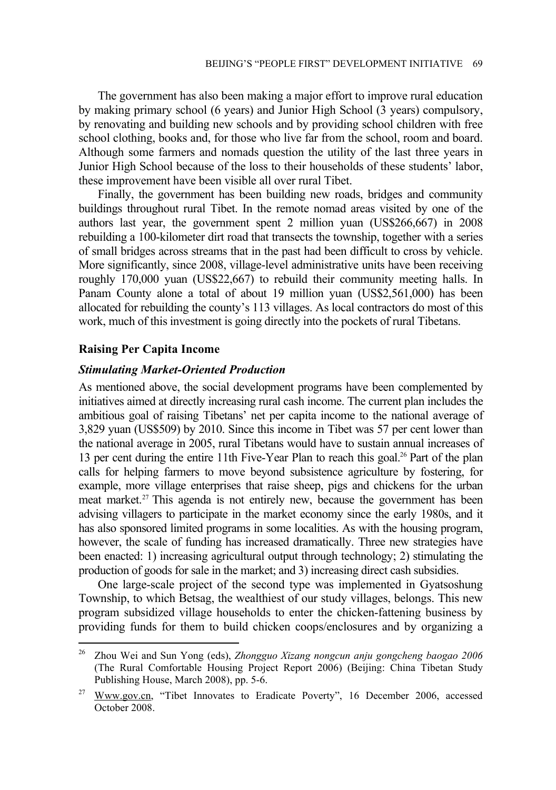The government has also been making a major effort to improve rural education by making primary school (6 years) and Junior High School (3 years) compulsory, by renovating and building new schools and by providing school children with free school clothing, books and, for those who live far from the school, room and board. Although some farmers and nomads question the utility of the last three years in Junior High School because of the loss to their households of these students' labor, these improvement have been visible all over rural Tibet.

Finally, the government has been building new roads, bridges and community buildings throughout rural Tibet. In the remote nomad areas visited by one of the authors last year, the government spent 2 million yuan (US\$266,667) in 2008 rebuilding a 100-kilometer dirt road that transects the township, together with a series of small bridges across streams that in the past had been difficult to cross by vehicle. More significantly, since 2008, village-level administrative units have been receiving roughly 170,000 yuan (US\$22,667) to rebuild their community meeting halls. In Panam County alone a total of about 19 million yuan (US\$2,561,000) has been allocated for rebuilding the county's 113 villages. As local contractors do most of this work, much of this investment is going directly into the pockets of rural Tibetans.

## **Raising Per Capita Income**

 $\overline{a}$ 

## *Stimulating Market-Oriented Production*

As mentioned above, the social development programs have been complemented by initiatives aimed at directly increasing rural cash income. The current plan includes the ambitious goal of raising Tibetans' net per capita income to the national average of 3,829 yuan (US\$509) by 2010. Since this income in Tibet was 57 per cent lower than the national average in 2005, rural Tibetans would have to sustain annual increases of 13 per cent during the entire 11th Five-Year Plan to reach this goal.<sup>26</sup> Part of the plan calls for helping farmers to move beyond subsistence agriculture by fostering, for example, more village enterprises that raise sheep, pigs and chickens for the urban meat market. $2<sup>7</sup>$  This agenda is not entirely new, because the government has been advising villagers to participate in the market economy since the early 1980s, and it has also sponsored limited programs in some localities. As with the housing program, however, the scale of funding has increased dramatically. Three new strategies have been enacted: 1) increasing agricultural output through technology; 2) stimulating the production of goods for sale in the market; and 3) increasing direct cash subsidies.

One large-scale project of the second type was implemented in Gyatsoshung Township, to which Betsag, the wealthiest of our study villages, belongs. This new program subsidized village households to enter the chicken-fattening business by providing funds for them to build chicken coops/enclosures and by organizing a

<sup>26</sup> Zhou Wei and Sun Yong (eds), *Zhongguo Xizang nongcun anju gongcheng baogao 2006*  (The Rural Comfortable Housing Project Report 2006) (Beijing: China Tibetan Study Publishing House, March 2008), pp. 5-6.

<sup>&</sup>lt;sup>27</sup> Www.gov.cn, "Tibet Innovates to Eradicate Poverty", 16 December 2006, accessed October 2008.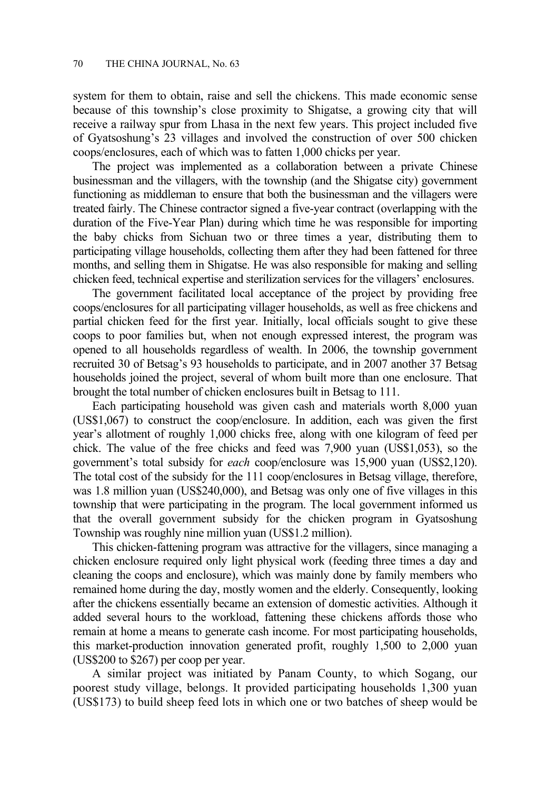system for them to obtain, raise and sell the chickens. This made economic sense because of this township's close proximity to Shigatse, a growing city that will receive a railway spur from Lhasa in the next few years. This project included five of Gyatsoshung's 23 villages and involved the construction of over 500 chicken coops/enclosures, each of which was to fatten 1,000 chicks per year.

The project was implemented as a collaboration between a private Chinese businessman and the villagers, with the township (and the Shigatse city) government functioning as middleman to ensure that both the businessman and the villagers were treated fairly. The Chinese contractor signed a five-year contract (overlapping with the duration of the Five-Year Plan) during which time he was responsible for importing the baby chicks from Sichuan two or three times a year, distributing them to participating village households, collecting them after they had been fattened for three months, and selling them in Shigatse. He was also responsible for making and selling chicken feed, technical expertise and sterilization services for the villagers' enclosures.

The government facilitated local acceptance of the project by providing free coops/enclosures for all participating villager households, as well as free chickens and partial chicken feed for the first year. Initially, local officials sought to give these coops to poor families but, when not enough expressed interest, the program was opened to all households regardless of wealth. In 2006, the township government recruited 30 of Betsag's 93 households to participate, and in 2007 another 37 Betsag households joined the project, several of whom built more than one enclosure. That brought the total number of chicken enclosures built in Betsag to 111.

Each participating household was given cash and materials worth 8,000 yuan (US\$1,067) to construct the coop/enclosure. In addition, each was given the first year's allotment of roughly 1,000 chicks free, along with one kilogram of feed per chick. The value of the free chicks and feed was 7,900 yuan (US\$1,053), so the government's total subsidy for *each* coop/enclosure was 15,900 yuan (US\$2,120). The total cost of the subsidy for the 111 coop/enclosures in Betsag village, therefore, was 1.8 million yuan (US\$240,000), and Betsag was only one of five villages in this township that were participating in the program. The local government informed us that the overall government subsidy for the chicken program in Gyatsoshung Township was roughly nine million yuan (US\$1.2 million).

This chicken-fattening program was attractive for the villagers, since managing a chicken enclosure required only light physical work (feeding three times a day and cleaning the coops and enclosure), which was mainly done by family members who remained home during the day, mostly women and the elderly. Consequently, looking after the chickens essentially became an extension of domestic activities. Although it added several hours to the workload, fattening these chickens affords those who remain at home a means to generate cash income. For most participating households, this market-production innovation generated profit, roughly 1,500 to 2,000 yuan (US\$200 to \$267) per coop per year.

A similar project was initiated by Panam County, to which Sogang, our poorest study village, belongs. It provided participating households 1,300 yuan (US\$173) to build sheep feed lots in which one or two batches of sheep would be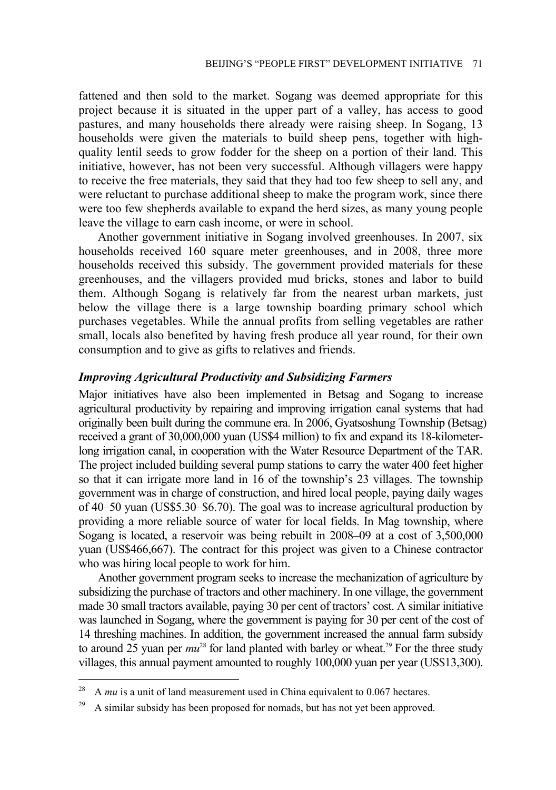fattened and then sold to the market. Sogang was deemed appropriate for this project because it is situated in the upper part of a valley, has access to good pastures, and many households there already were raising sheep. In Sogang, 13 households were given the materials to build sheep pens, together with highquality lentil seeds to grow fodder for the sheep on a portion of their land. This initiative, however, has not been very successful. Although villagers were happy to receive the free materials, they said that they had too few sheep to sell any, and were reluctant to purchase additional sheep to make the program work, since there were too few shepherds available to expand the herd sizes, as many young people leave the village to earn cash income, or were in school.

Another government initiative in Sogang involved greenhouses. In 2007, six households received 160 square meter greenhouses, and in 2008, three more households received this subsidy. The government provided materials for these greenhouses, and the villagers provided mud bricks, stones and labor to build them. Although Sogang is relatively far from the nearest urban markets, just below the village there is a large township boarding primary school which purchases vegetables. While the annual profits from selling vegetables are rather small, locals also benefited by having fresh produce all year round, for their own consumption and to give as gifts to relatives and friends.

## *Improving Agricultural Productivity and Subsidizing Farmers*

Major initiatives have also been implemented in Betsag and Sogang to increase agricultural productivity by repairing and improving irrigation canal systems that had originally been built during the commune era. In 2006, Gyatsoshung Township (Betsag) received a grant of 30,000,000 yuan (US\$4 million) to fix and expand its 18-kilometerlong irrigation canal, in cooperation with the Water Resource Department of the TAR. The project included building several pump stations to carry the water 400 feet higher so that it can irrigate more land in 16 of the township's 23 villages. The township government was in charge of construction, and hired local people, paying daily wages of 40–50 yuan (US\$5.30–\$6.70). The goal was to increase agricultural production by providing a more reliable source of water for local fields. In Mag township, where Sogang is located, a reservoir was being rebuilt in 2008–09 at a cost of 3,500,000 yuan (US\$466,667). The contract for this project was given to a Chinese contractor who was hiring local people to work for him. Another government program seeks to increase the mechanization of agriculture by

subsidizing the purchase of tractors and other machinery. In one village, the government made 30 small tractors available, paying 30 per cent of tractors' cost. A similar initiative was launched in Sogang, where the government is paying for 30 per cent of the cost of 14 threshing machines. In addition, the government increased the annual farm subsidy to around 25 yuan per  $mu^{28}$  for land planted with barley or wheat.<sup>29</sup> For the three study villages, this annual payment amounted to roughly 100,000 yuan per year (US\$13,300).

<sup>&</sup>lt;sup>28</sup> A *mu* is a unit of land measurement used in China equivalent to 0.067 hectares.

 $29$  A similar subsidy has been proposed for nomads, but has not yet been approved.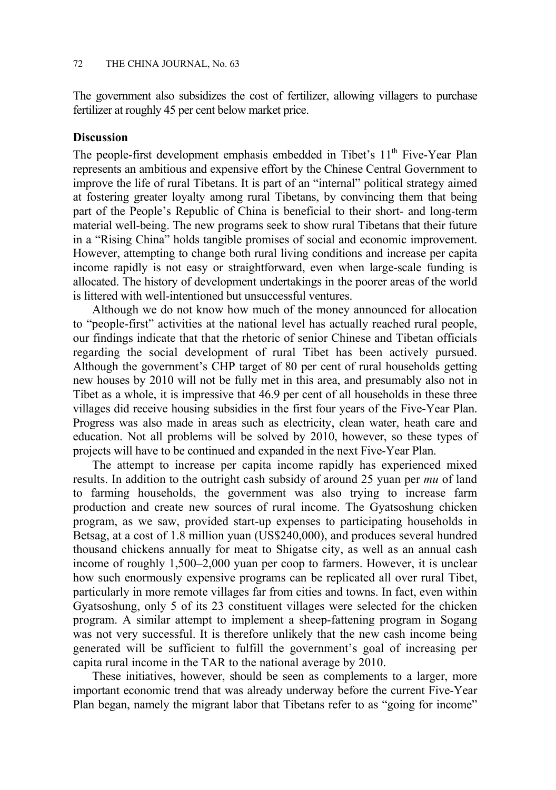The government also subsidizes the cost of fertilizer, allowing villagers to purchase fertilizer at roughly 45 per cent below market price.

## **Discussion**

The people-first development emphasis embedded in Tibet's  $11<sup>th</sup>$  Five-Year Plan represents an ambitious and expensive effort by the Chinese Central Government to improve the life of rural Tibetans. It is part of an "internal" political strategy aimed at fostering greater loyalty among rural Tibetans, by convincing them that being part of the People's Republic of China is beneficial to their short- and long-term material well-being. The new programs seek to show rural Tibetans that their future in a "Rising China" holds tangible promises of social and economic improvement. However, attempting to change both rural living conditions and increase per capita income rapidly is not easy or straightforward, even when large-scale funding is allocated. The history of development undertakings in the poorer areas of the world is littered with well-intentioned but unsuccessful ventures.

Although we do not know how much of the money announced for allocation to "people-first" activities at the national level has actually reached rural people, our findings indicate that that the rhetoric of senior Chinese and Tibetan officials regarding the social development of rural Tibet has been actively pursued. Although the government's CHP target of 80 per cent of rural households getting new houses by 2010 will not be fully met in this area, and presumably also not in Tibet as a whole, it is impressive that 46.9 per cent of all households in these three villages did receive housing subsidies in the first four years of the Five-Year Plan. Progress was also made in areas such as electricity, clean water, heath care and education. Not all problems will be solved by 2010, however, so these types of projects will have to be continued and expanded in the next Five-Year Plan.

The attempt to increase per capita income rapidly has experienced mixed results. In addition to the outright cash subsidy of around 25 yuan per *mu* of land to farming households, the government was also trying to increase farm production and create new sources of rural income. The Gyatsoshung chicken program, as we saw, provided start-up expenses to participating households in Betsag, at a cost of 1.8 million yuan (US\$240,000), and produces several hundred thousand chickens annually for meat to Shigatse city, as well as an annual cash income of roughly 1,500–2,000 yuan per coop to farmers. However, it is unclear how such enormously expensive programs can be replicated all over rural Tibet, particularly in more remote villages far from cities and towns. In fact, even within Gyatsoshung, only 5 of its 23 constituent villages were selected for the chicken program. A similar attempt to implement a sheep-fattening program in Sogang was not very successful. It is therefore unlikely that the new cash income being generated will be sufficient to fulfill the government's goal of increasing per capita rural income in the TAR to the national average by 2010.

These initiatives, however, should be seen as complements to a larger, more important economic trend that was already underway before the current Five-Year Plan began, namely the migrant labor that Tibetans refer to as "going for income"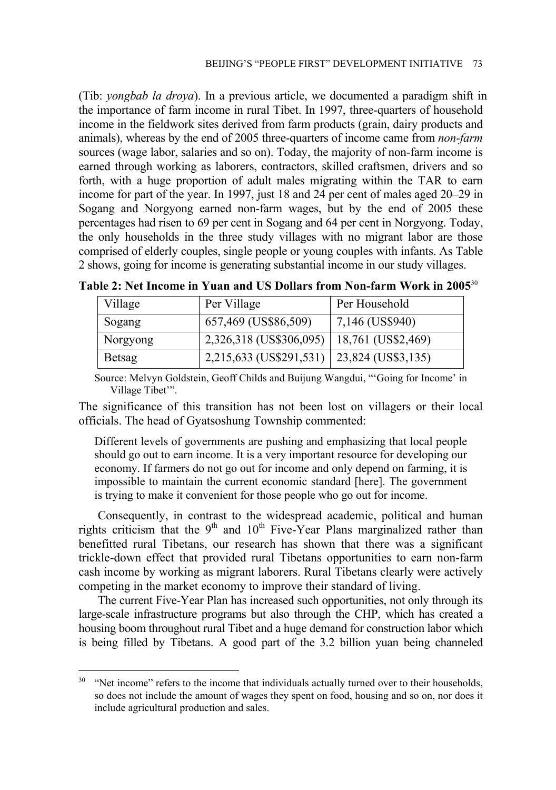(Tib: *yongbab la droya*). In a previous article, we documented a paradigm shift in the importance of farm income in rural Tibet. In 1997, three-quarters of household income in the fieldwork sites derived from farm products (grain, dairy products and animals), whereas by the end of 2005 three-quarters of income came from *non-farm* sources (wage labor, salaries and so on). Today, the majority of non-farm income is earned through working as laborers, contractors, skilled craftsmen, drivers and so forth, with a huge proportion of adult males migrating within the TAR to earn income for part of the year. In 1997, just 18 and 24 per cent of males aged 20–29 in Sogang and Norgyong earned non-farm wages, but by the end of 2005 these percentages had risen to 69 per cent in Sogang and 64 per cent in Norgyong. Today, the only households in the three study villages with no migrant labor are those comprised of elderly couples, single people or young couples with infants. As Table 2 shows, going for income is generating substantial income in our study villages.

| Village  | Per Village                                  | Per Household        |
|----------|----------------------------------------------|----------------------|
| Sogang   | 657,469 (US\$86,509)                         | 7,146 (US\$940)      |
| Norgyong | 2,326,318 (US\$306,095)                      | $18,761$ (US\$2,469) |
| Betsag   | 2,215,633 (US\$291,531)   23,824 (US\$3,135) |                      |

**Table 2: Net Income in Yuan and US Dollars from Non-farm Work in 2005**<sup>30</sup>

Source: Melvyn Goldstein, Geoff Childs and Buijung Wangdui, "'Going for Income' in Village Tibet'".

The significance of this transition has not been lost on villagers or their local officials. The head of Gyatsoshung Township commented:

Different levels of governments are pushing and emphasizing that local people should go out to earn income. It is a very important resource for developing our economy. If farmers do not go out for income and only depend on farming, it is impossible to maintain the current economic standard [here]. The government is trying to make it convenient for those people who go out for income.

Consequently, in contrast to the widespread academic, political and human rights criticism that the  $9<sup>th</sup>$  and  $10<sup>th</sup>$  Five-Year Plans marginalized rather than benefitted rural Tibetans, our research has shown that there was a significant trickle-down effect that provided rural Tibetans opportunities to earn non-farm cash income by working as migrant laborers. Rural Tibetans clearly were actively competing in the market economy to improve their standard of living.

The current Five-Year Plan has increased such opportunities, not only through its large-scale infrastructure programs but also through the CHP, which has created a housing boom throughout rural Tibet and a huge demand for construction labor which is being filled by Tibetans. A good part of the 3.2 billion yuan being channeled

 $30$  "Net income" refers to the income that individuals actually turned over to their households, so does not include the amount of wages they spent on food, housing and so on, nor does it include agricultural production and sales.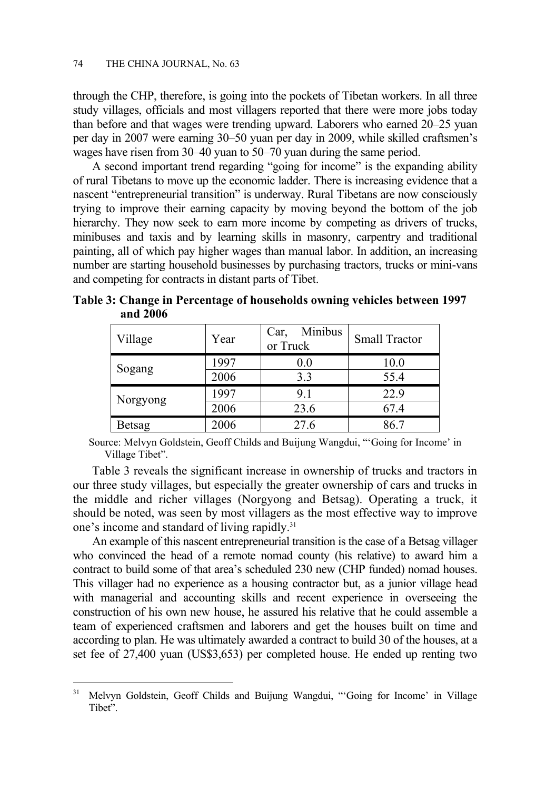through the CHP, therefore, is going into the pockets of Tibetan workers. In all three study villages, officials and most villagers reported that there were more jobs today than before and that wages were trending upward. Laborers who earned 20–25 yuan per day in 2007 were earning 30–50 yuan per day in 2009, while skilled craftsmen's wages have risen from 30–40 yuan to 50–70 yuan during the same period.

A second important trend regarding "going for income" is the expanding ability of rural Tibetans to move up the economic ladder. There is increasing evidence that a nascent "entrepreneurial transition" is underway. Rural Tibetans are now consciously trying to improve their earning capacity by moving beyond the bottom of the job hierarchy. They now seek to earn more income by competing as drivers of trucks, minibuses and taxis and by learning skills in masonry, carpentry and traditional painting, all of which pay higher wages than manual labor. In addition, an increasing number are starting household businesses by purchasing tractors, trucks or mini-vans and competing for contracts in distant parts of Tibet.

| Village       | Year | Minibus<br>Car,<br>or Truck | Small Tractor |
|---------------|------|-----------------------------|---------------|
| Sogang        | 1997 | 0.0                         | 10.0          |
|               | 2006 | 3.3                         | 55.4          |
| Norgyong      | 1997 | 9.1                         | 22.9          |
|               | 2006 | 23.6                        | 67.4          |
| <b>Betsag</b> | 2006 | 27.6                        | 86.7          |

**Table 3: Change in Percentage of households owning vehicles between 1997 and 2006** 

Source: Melvyn Goldstein, Geoff Childs and Buijung Wangdui, "'Going for Income' in Village Tibet".

Table 3 reveals the significant increase in ownership of trucks and tractors in our three study villages, but especially the greater ownership of cars and trucks in the middle and richer villages (Norgyong and Betsag). Operating a truck, it should be noted, was seen by most villagers as the most effective way to improve one's income and standard of living rapidly.<sup>31</sup>

An example of this nascent entrepreneurial transition is the case of a Betsag villager who convinced the head of a remote nomad county (his relative) to award him a contract to build some of that area's scheduled 230 new (CHP funded) nomad houses. This villager had no experience as a housing contractor but, as a junior village head with managerial and accounting skills and recent experience in overseeing the construction of his own new house, he assured his relative that he could assemble a team of experienced craftsmen and laborers and get the houses built on time and according to plan. He was ultimately awarded a contract to build 30 of the houses, at a set fee of 27,400 yuan (US\$3,653) per completed house. He ended up renting two

<sup>&</sup>lt;sup>31</sup> Melvyn Goldstein, Geoff Childs and Buijung Wangdui, "Going for Income' in Village Tibet".